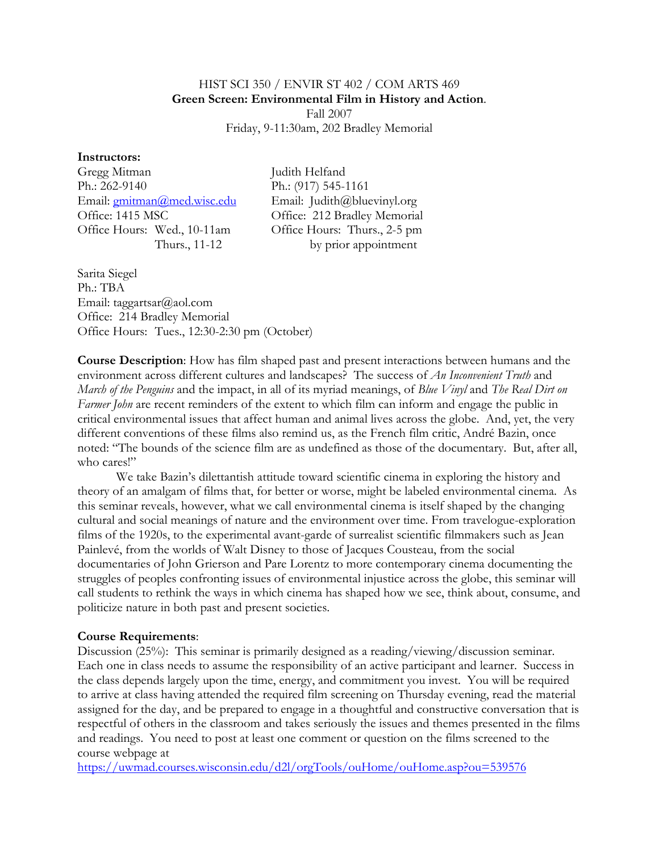# HIST SCI 350 / ENVIR ST 402 / COM ARTS 469 **Green Screen: Environmental Film in History and Action**. Fall 2007 Friday, 9-11:30am, 202 Bradley Memorial

### **Instructors:**

Gregg Mitman Judith Helfand Ph.: 262-9140 Ph.: (917) 545-1161 Email: [gmitman@med.wisc.edu](mailto:gmitman@med.wisc.edu) Email: Judith@bluevinyl.org Office: 1415 MSC Office: 212 Bradley Memorial Office Hours: Wed., 10-11am Office Hours: Thurs., 2-5 pm

Thurs., 11-12 by prior appointment

Sarita Siegel Ph.: TBA Email: taggartsar@aol.com Office: 214 Bradley Memorial Office Hours: Tues., 12:30-2:30 pm (October)

**Course Description**: How has film shaped past and present interactions between humans and the environment across different cultures and landscapes? The success of *An Inconvenient Truth* and *March of the Penguins* and the impact, in all of its myriad meanings, of *Blue Vinyl* and *The Real Dirt on Farmer John* are recent reminders of the extent to which film can inform and engage the public in critical environmental issues that affect human and animal lives across the globe. And, yet, the very different conventions of these films also remind us, as the French film critic, André Bazin, once noted: "The bounds of the science film are as undefined as those of the documentary. But, after all, who cares!"

We take Bazin's dilettantish attitude toward scientific cinema in exploring the history and theory of an amalgam of films that, for better or worse, might be labeled environmental cinema. As this seminar reveals, however, what we call environmental cinema is itself shaped by the changing cultural and social meanings of nature and the environment over time. From travelogue-exploration films of the 1920s, to the experimental avant-garde of surrealist scientific filmmakers such as Jean Painlevé, from the worlds of Walt Disney to those of Jacques Cousteau, from the social documentaries of John Grierson and Pare Lorentz to more contemporary cinema documenting the struggles of peoples confronting issues of environmental injustice across the globe, this seminar will call students to rethink the ways in which cinema has shaped how we see, think about, consume, and politicize nature in both past and present societies.

### **Course Requirements**:

Discussion (25%): This seminar is primarily designed as a reading/viewing/discussion seminar. Each one in class needs to assume the responsibility of an active participant and learner. Success in the class depends largely upon the time, energy, and commitment you invest. You will be required to arrive at class having attended the required film screening on Thursday evening, read the material assigned for the day, and be prepared to engage in a thoughtful and constructive conversation that is respectful of others in the classroom and takes seriously the issues and themes presented in the films and readings. You need to post at least one comment or question on the films screened to the course webpage at

<https://uwmad.courses.wisconsin.edu/d2l/orgTools/ouHome/ouHome.asp?ou=539576>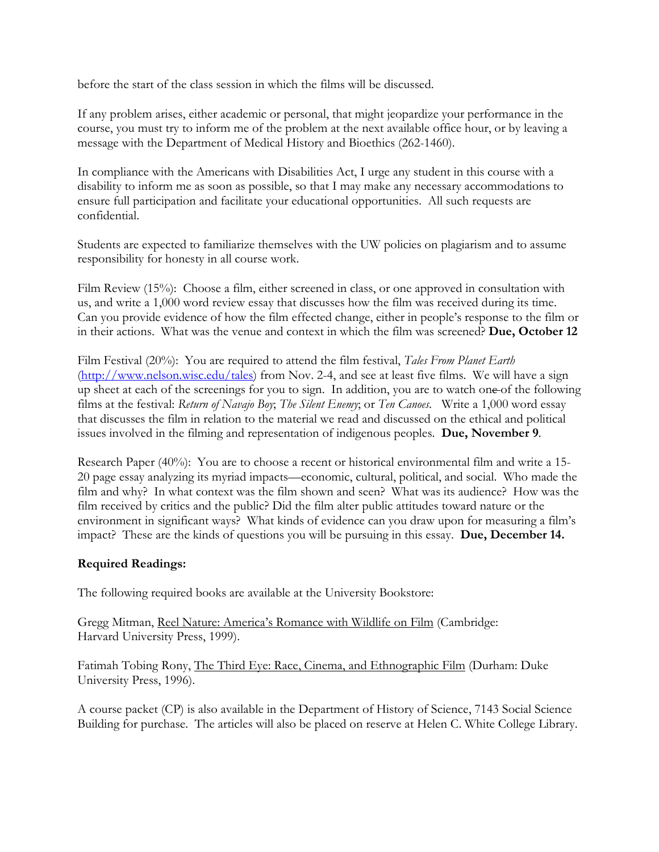before the start of the class session in which the films will be discussed.

If any problem arises, either academic or personal, that might jeopardize your performance in the course, you must try to inform me of the problem at the next available office hour, or by leaving a message with the Department of Medical History and Bioethics (262-1460).

In compliance with the Americans with Disabilities Act, I urge any student in this course with a disability to inform me as soon as possible, so that I may make any necessary accommodations to ensure full participation and facilitate your educational opportunities. All such requests are confidential.

Students are expected to familiarize themselves with the UW policies on plagiarism and to assume responsibility for honesty in all course work.

Film Review (15%): Choose a film, either screened in class, or one approved in consultation with us, and write a 1,000 word review essay that discusses how the film was received during its time. Can you provide evidence of how the film effected change, either in people's response to the film or in their actions. What was the venue and context in which the film was screened? **Due, October 12**

Film Festival (20%): You are required to attend the film festival, *Tales From Planet Earth*  [\(http://www.nelson.wisc.edu/tales\)](http://www.nelson.wisc.edu/tales) from Nov. 2-4, and see at least five films. We will have a sign up sheet at each of the screenings for you to sign. In addition, you are to watch one of the following films at the festival: *Return of Navajo Boy*; *The Silent Enemy*; or *Ten Canoes*. Write a 1,000 word essay that discusses the film in relation to the material we read and discussed on the ethical and political issues involved in the filming and representation of indigenous peoples. **Due, November 9**.

Research Paper (40%): You are to choose a recent or historical environmental film and write a 15- 20 page essay analyzing its myriad impacts—economic, cultural, political, and social. Who made the film and why? In what context was the film shown and seen? What was its audience? How was the film received by critics and the public? Did the film alter public attitudes toward nature or the environment in significant ways? What kinds of evidence can you draw upon for measuring a film's impact? These are the kinds of questions you will be pursuing in this essay. **Due, December 14.**

# **Required Readings:**

The following required books are available at the University Bookstore:

Gregg Mitman, Reel Nature: America's Romance with Wildlife on Film (Cambridge: Harvard University Press, 1999).

Fatimah Tobing Rony, The Third Eye: Race, Cinema, and Ethnographic Film (Durham: Duke University Press, 1996).

A course packet (CP) is also available in the Department of History of Science, 7143 Social Science Building for purchase. The articles will also be placed on reserve at Helen C. White College Library.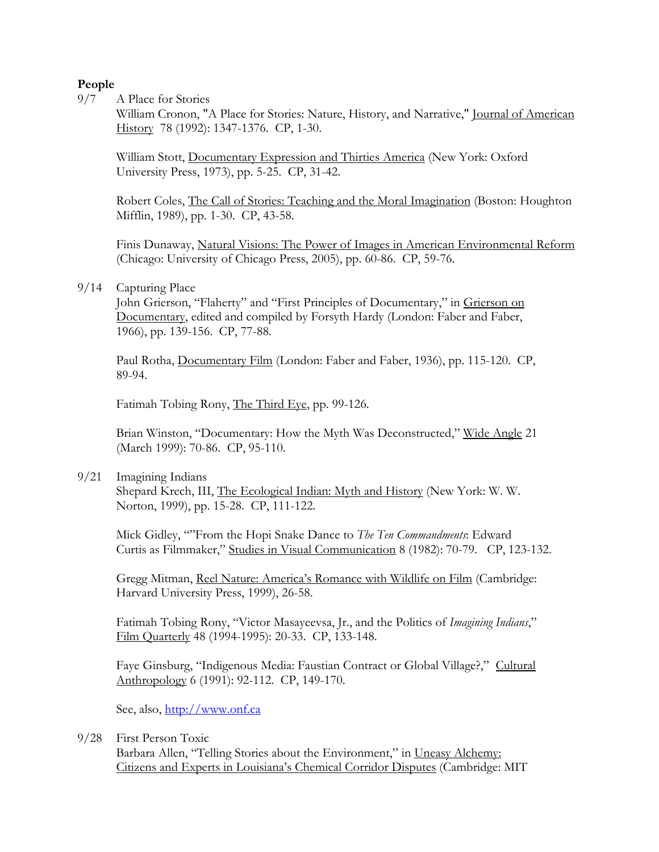# **People**

9/7 A Place for Stories

William Cronon, "A Place for Stories: Nature, History, and Narrative," Journal of American History 78 (1992): 1347-1376. CP, 1-30.

William Stott, Documentary Expression and Thirties America (New York: Oxford University Press, 1973), pp. 5-25. CP, 31-42.

Robert Coles, The Call of Stories: Teaching and the Moral Imagination (Boston: Houghton Mifflin, 1989), pp. 1-30. CP, 43-58.

Finis Dunaway, Natural Visions: The Power of Images in American Environmental Reform (Chicago: University of Chicago Press, 2005), pp. 60-86. CP, 59-76.

## 9/14 Capturing Place

John Grierson, "Flaherty" and "First Principles of Documentary," in Grierson on Documentary, edited and compiled by Forsyth Hardy (London: Faber and Faber, 1966), pp. 139-156. CP, 77-88.

Paul Rotha, Documentary Film (London: Faber and Faber, 1936), pp. 115-120. CP, 89-94.

Fatimah Tobing Rony, The Third Eye, pp. 99-126.

Brian Winston, "Documentary: How the Myth Was Deconstructed," Wide Angle 21 (March 1999): 70-86. CP, 95-110.

9/21 Imagining Indians

Shepard Krech, III, The Ecological Indian: Myth and History (New York: W. W. Norton, 1999), pp. 15-28. CP, 111-122.

Mick Gidley, ""From the Hopi Snake Dance to *The Ten Commandments*: Edward Curtis as Filmmaker," Studies in Visual Communication 8 (1982): 70-79. CP, 123-132.

Gregg Mitman, Reel Nature: America's Romance with Wildlife on Film (Cambridge: Harvard University Press, 1999), 26-58.

Fatimah Tobing Rony, "Victor Masayeevsa, Jr., and the Politics of *Imagining Indians*," Film Quarterly 48 (1994-1995): 20-33. CP, 133-148.

Faye Ginsburg, "Indigenous Media: Faustian Contract or Global Village?," Cultural Anthropology 6 (1991): 92-112. CP, 149-170.

See, also, http://www.onf.ca

### 9/28 First Person Toxic

Barbara Allen, "Telling Stories about the Environment," in Uneasy Alchemy: Citizens and Experts in Louisiana's Chemical Corridor Disputes (Cambridge: MIT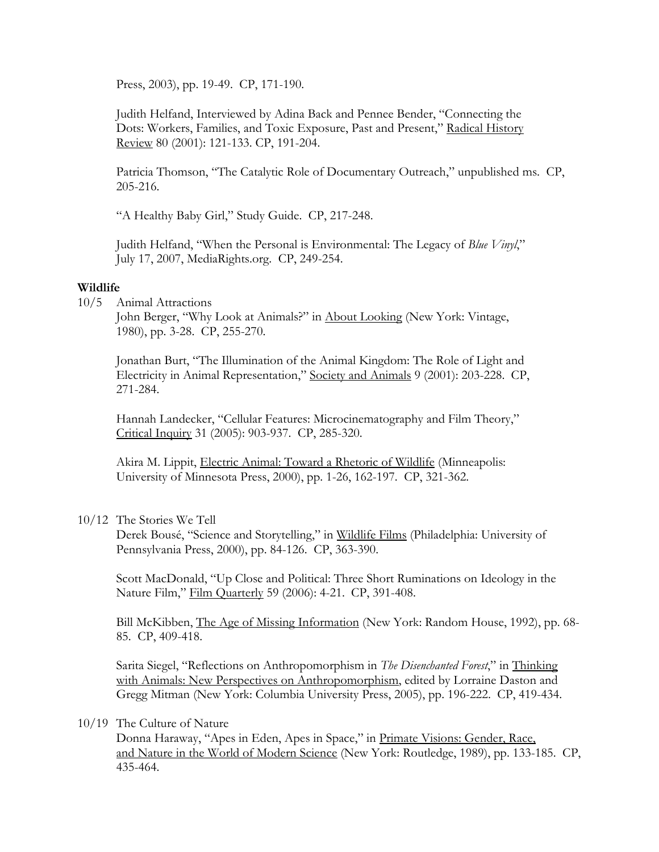Press, 2003), pp. 19-49. CP, 171-190.

Judith Helfand, Interviewed by Adina Back and Pennee Bender, "Connecting the Dots: Workers, Families, and Toxic Exposure, Past and Present," Radical History Review 80 (2001): 121-133. CP, 191-204.

Patricia Thomson, "The Catalytic Role of Documentary Outreach," unpublished ms. CP, 205-216.

"A Healthy Baby Girl," Study Guide. CP, 217-248.

Judith Helfand, "When the Personal is Environmental: The Legacy of *Blue Vinyl*," July 17, 2007, MediaRights.org. CP, 249-254.

#### **Wildlife**

10/5 Animal Attractions

John Berger, "Why Look at Animals?" in About Looking (New York: Vintage, 1980), pp. 3-28. CP, 255-270.

Jonathan Burt, "The Illumination of the Animal Kingdom: The Role of Light and Electricity in Animal Representation," Society and Animals 9 (2001): 203-228. CP, 271-284.

Hannah Landecker, "Cellular Features: Microcinematography and Film Theory," Critical Inquiry 31 (2005): 903-937. CP, 285-320.

Akira M. Lippit, Electric Animal: Toward a Rhetoric of Wildlife (Minneapolis: University of Minnesota Press, 2000), pp. 1-26, 162-197. CP, 321-362.

10/12 The Stories We Tell

Derek Bousé, "Science and Storytelling," in Wildlife Films (Philadelphia: University of Pennsylvania Press, 2000), pp. 84-126. CP, 363-390.

Scott MacDonald, "Up Close and Political: Three Short Ruminations on Ideology in the Nature Film," Film Quarterly 59 (2006): 4-21. CP, 391-408.

Bill McKibben, The Age of Missing Information (New York: Random House, 1992), pp. 68- 85. CP, 409-418.

Sarita Siegel, "Reflections on Anthropomorphism in *The Disenchanted Forest*," in Thinking with Animals: New Perspectives on Anthropomorphism, edited by Lorraine Daston and Gregg Mitman (New York: Columbia University Press, 2005), pp. 196-222. CP, 419-434.

#### 10/19 The Culture of Nature

Donna Haraway, "Apes in Eden, Apes in Space," in Primate Visions: Gender, Race, and Nature in the World of Modern Science (New York: Routledge, 1989), pp. 133-185. CP, 435-464.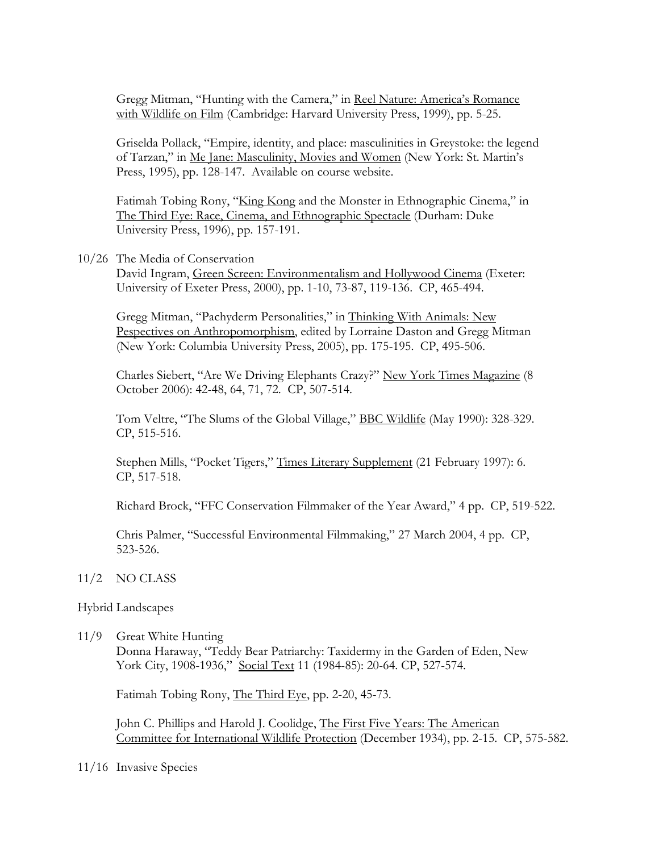Gregg Mitman, "Hunting with the Camera," in Reel Nature: America's Romance with Wildlife on Film (Cambridge: Harvard University Press, 1999), pp. 5-25.

Griselda Pollack, "Empire, identity, and place: masculinities in Greystoke: the legend of Tarzan," in Me Jane: Masculinity, Movies and Women (New York: St. Martin's Press, 1995), pp. 128-147. Available on course website.

Fatimah Tobing Rony, "King Kong and the Monster in Ethnographic Cinema," in The Third Eye: Race, Cinema, and Ethnographic Spectacle (Durham: Duke University Press, 1996), pp. 157-191.

#### 10/26 The Media of Conservation

David Ingram, Green Screen: Environmentalism and Hollywood Cinema (Exeter: University of Exeter Press, 2000), pp. 1-10, 73-87, 119-136. CP, 465-494.

Gregg Mitman, "Pachyderm Personalities," in Thinking With Animals: New Pespectives on Anthropomorphism, edited by Lorraine Daston and Gregg Mitman (New York: Columbia University Press, 2005), pp. 175-195. CP, 495-506.

Charles Siebert, "Are We Driving Elephants Crazy?" New York Times Magazine (8 October 2006): 42-48, 64, 71, 72. CP, 507-514.

Tom Veltre, "The Slums of the Global Village," BBC Wildlife (May 1990): 328-329. CP, 515-516.

Stephen Mills, "Pocket Tigers," Times Literary Supplement (21 February 1997): 6. CP, 517-518.

Richard Brock, "FFC Conservation Filmmaker of the Year Award," 4 pp. CP, 519-522.

Chris Palmer, "Successful Environmental Filmmaking," 27 March 2004, 4 pp. CP, 523-526.

#### 11/2 NO CLASS

#### Hybrid Landscapes

11/9 Great White Hunting

Donna Haraway, "Teddy Bear Patriarchy: Taxidermy in the Garden of Eden, New York City, 1908-1936," Social Text 11 (1984-85): 20-64. CP, 527-574.

Fatimah Tobing Rony, The Third Eye, pp. 2-20, 45-73.

John C. Phillips and Harold J. Coolidge, The First Five Years: The American Committee for International Wildlife Protection (December 1934), pp. 2-15. CP, 575-582.

11/16 Invasive Species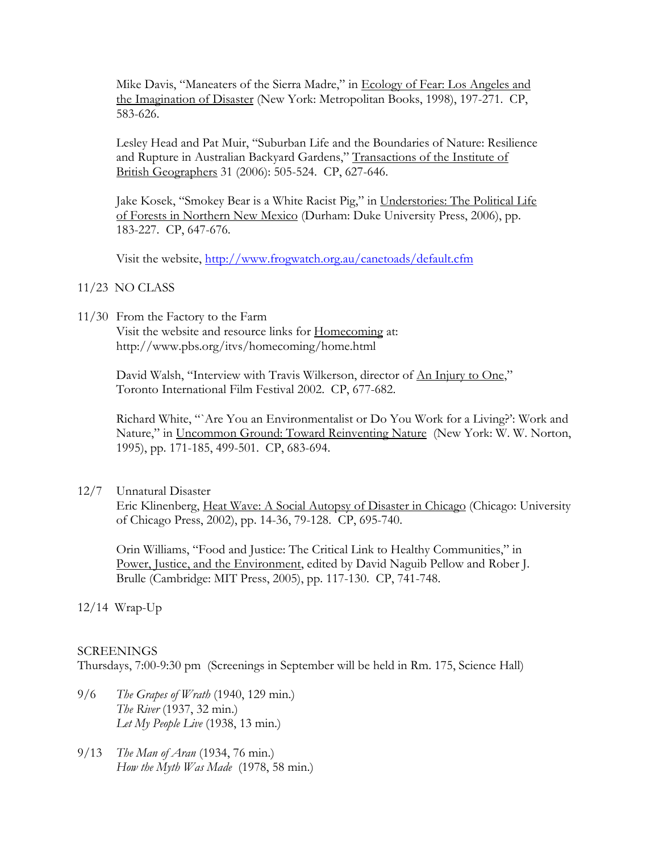Mike Davis, "Maneaters of the Sierra Madre," in Ecology of Fear: Los Angeles and the Imagination of Disaster (New York: Metropolitan Books, 1998), 197-271. CP, 583-626.

Lesley Head and Pat Muir, "Suburban Life and the Boundaries of Nature: Resilience and Rupture in Australian Backyard Gardens," Transactions of the Institute of British Geographers 31 (2006): 505-524. CP, 627-646.

Jake Kosek, "Smokey Bear is a White Racist Pig," in Understories: The Political Life of Forests in Northern New Mexico (Durham: Duke University Press, 2006), pp. 183-227. CP, 647-676.

Visit the website,<http://www.frogwatch.org.au/canetoads/default.cfm>

- 11/23 NO CLASS
- 11/30 From the Factory to the Farm

Visit the website and resource links for Homecoming at: http://www.pbs.org/itvs/homecoming/home.html

David Walsh, "Interview with Travis Wilkerson, director of An Injury to One," Toronto International Film Festival 2002. CP, 677-682.

Richard White, "`Are You an Environmentalist or Do You Work for a Living?': Work and Nature," in Uncommon Ground: Toward Reinventing Nature (New York: W. W. Norton, 1995), pp. 171-185, 499-501. CP, 683-694.

12/7 Unnatural Disaster

Eric Klinenberg, Heat Wave: A Social Autopsy of Disaster in Chicago (Chicago: University of Chicago Press, 2002), pp. 14-36, 79-128. CP, 695-740.

Orin Williams, "Food and Justice: The Critical Link to Healthy Communities," in Power, Justice, and the Environment, edited by David Naguib Pellow and Rober J. Brulle (Cambridge: MIT Press, 2005), pp. 117-130. CP, 741-748.

12/14 Wrap-Up

# **SCREENINGS**

Thursdays, 7:00-9:30 pm (Screenings in September will be held in Rm. 175, Science Hall)

- 9/6 *The Grapes of Wrath* (1940, 129 min.) *The River* (1937, 32 min.) *Let My People Live* (1938, 13 min.)
- 9/13 *The Man of Aran* (1934, 76 min.) *How the Myth Was Made* (1978, 58 min.)